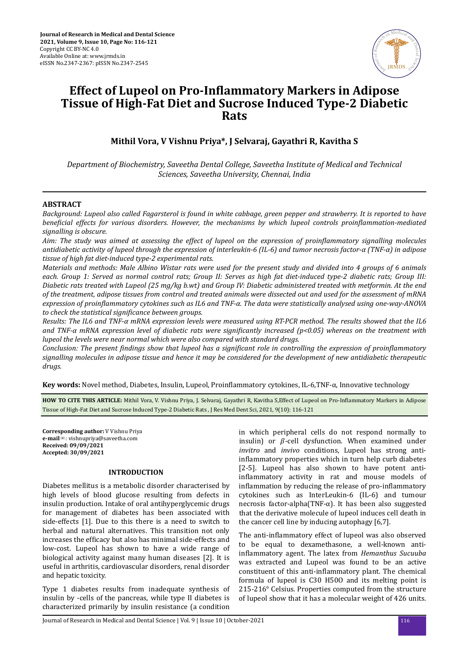

# **Effect of Lupeol on Pro-Inflammatory Markers in Adipose Tissue of High-Fat Diet and Sucrose Induced Type-2 Diabetic Rats**

**Mithil Vora, V Vishnu Priya\*, J Selvaraj, Gayathri R, Kavitha S**

*Department of Biochemistry, Saveetha Dental College, Saveetha Institute of Medical and Technical Sciences, Saveetha University, Chennai, India*

# **ABSTRACT**

*Background: Lupeol also called Fagarsterol is found in white cabbage, green pepper and strawberry. It is reported to have beneficial effects for various disorders. However, the mechanisms by which lupeol controls proinflammation-mediated signalling is obscure.*

*Aim: The study was aimed at assessing the effect of lupeol on the expression of proinflammatory signalling molecules antidiabetic activity of lupeol through the expression of interleukin-6 (IL-6) and tumor necrosis factor-α (TNF-α) in adipose tissue of high fat diet-induced type-2 experimental rats.*

*Materials and methods: Male Albino Wistar rats were used for the present study and divided into 4 groups of 6 animals each. Group 1: Served as normal control rats; Group II: Serves as high fat diet-induced type-2 diabetic rats; Group III: Diabetic rats treated with Lupeol (25 mg/kg b.wt) and Group IV: Diabetic administered treated with metformin. At the end of the treatment, adipose tissues from control and treated animals were dissected out and used for the assessment of mRNA expression of pronϔlammator cytokines such as IL6 and TNF-α. The data were statistically analysed using one-way-ANOVA to check the statistical significance between groups.* 

*Results: The IL6 and TNF-α mRNA expression levels were measured using RT-PCR method. The results showed that the IL6* and TNF-α mRNA expression level of diabetic rats were significantly increased (p<0.05) whereas on the treatment with *lupeol the levels were near normal which were also compared with standard drugs.*

*Conclusion: The present findings show that lupeol has a significant role in controlling the expression of proinflammatory signalling molecules in adipose tissue and hence it may be considered for the development of new antidiabetic therapeutic drugs.*

**Key words:** Novel method, Diabetes, Insulin, Lupeol, Proinflammatory cytokines, IL-6,TNF-α, Innovative technology

HOW TO CITE THIS ARTICLE: Mithil Vora, V. Vishnu Priya, J. Selvaraj, Gayathri R, Kavitha S,Effect of Lupeol on Pro-Inflammatory Markers in Adipose Tissue of High-Fat Diet and Sucrose Induced Type-2 Diabetic Rats , J Res Med Dent Sci, 2021, 9(10): 116-121

**Corresponding author:** V Vishnu Priya **e-mail**✉: vishnupriya@saveetha.com **Received: 09/09/2021 Accepted: 30/09/2021** 

## **INTRODUCTION**

Diabetes mellitus is a metabolic disorder characterised by high levels of blood glucose resulting from defects in insulin production. Intake of oral antihyperglycemic drugs for management of diabetes has been associated with side-effects [1]. Due to this there is a need to switch to herbal and natural alternatives. This transition not only increases the efficacy but also has minimal side-effects and low-cost. Lupeol has shown to have a wide range of biological activity against many human diseases [2]. It is useful in arthritis, cardiovascular disorders, renal disorder and hepatic toxicity.

Type 1 diabetes results from inadequate synthesis of insulin by -cells of the pancreas, while type II diabetes is characterized primarily by insulin resistance (a condition

in which peripheral cells do not respond normally to insulin) or  $\beta$ -cell dysfunction. When examined under *invitro* and *invivo* conditions, Lupeol has strong antiinflammatory properties which in turn help curb diabetes [2-5]. Lupeol has also shown to have potent antiinflammatory activity in rat and mouse models of inflammation by reducing the release of pro-inflammatory cytokines such as InterLeukin-6 (IL-6) and tumour necrosis factor-alpha(TNF-α). It has been also suggested that the derivative molecule of lupeol induces cell death in the cancer cell line by inducing autophagy [6,7].

The anti-inflammatory effect of lupeol was also observed to be equal to dexamethasone, a well-known antiinflammatory agent. The latex from *Hemanthus Sucuuba* was extracted and Lupeol was found to be an active constituent of this anti-inflammatory plant. The chemical formula of lupeol is C30 H50O and its melting point is 215-216° Celsius. Properties computed from the structure of lupeol show that it has a molecular weight of 426 units.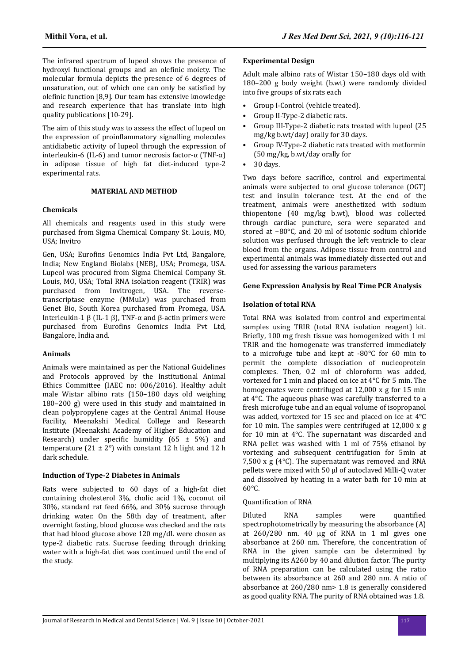The infrared spectrum of lupeol shows the presence of hydroxyl functional groups and an olefinic moiety. The molecular formula depicts the presence of 6 degrees of unsaturation, out of which one can only be satisfied by olefinic function [8,9]. Our team has extensive knowledge and research experience that has translate into high quality publications [10-29].

The aim of this study was to assess the effect of lupeol on the expression of proinflammatory signalling molecules antidiabetic activity of lupeol through the expression of interleukin-6 (IL-6) and tumor necrosis factor-α (TNF-α) in adipose tissue of high fat diet-induced type-2 experimental rats.

## **MATERIAL AND METHOD**

#### **Chemicals**

All chemicals and reagents used in this study were purchased from Sigma Chemical Company St. Louis, MO, USA; Invitro

Gen, USA; Eurofins Genomics India Pvt Ltd, Bangalore, India; New England Biolabs (NEB), USA; Promega, USA. Lupeol was procured from Sigma Chemical Company St. Louis, MO, USA; Total RNA isolation reagent (TRIR) was purchased from Invitrogen, USA. The reversetranscriptase enzyme (MMuLv) was purchased from Genet Bio, South Korea purchased from Promega, USA. Interleukin-1 β (IL-1 β), TNF- $\alpha$  and β-actin primers were purchased from Eurofins Genomics India Pvt Ltd, Bangalore, India and.

#### **Animals**

Animals were maintained as per the National Guidelines and Protocols approved by the Institutional Animal Ethics Committee (IAEC no: 006/2016). Healthy adult male Wistar albino rats (150–180 days old weighing 180–200 g) were used in this study and maintained in clean polypropylene cages at the Central Animal House Facility, Meenakshi Medical College and Research Institute (Meenakshi Academy of Higher Education and Research) under specific humidity  $(65 \pm 5\%)$  and temperature  $(21 \pm 2^{\circ})$  with constant 12 h light and 12 h dark schedule.

## **Induction of Type-2 Diabetes in Animals**

Rats were subjected to 60 days of a high-fat diet containing cholesterol 3%, cholic acid 1%, coconut oil 30%, standard rat feed 66%, and 30% sucrose through drinking water. On the 58th day of treatment, after overnight fasting, blood glucose was checked and the rats that had blood glucose above 120 mg/dL were chosen as type-2 diabetic rats. Sucrose feeding through drinking water with a high-fat diet was continued until the end of the study.

## **Experimental Design**

Adult male albino rats of Wistar 150–180 days old with 180–200 g body weight (b.wt) were randomly divided into five groups of six rats each

- Group I-Control (vehicle treated).
- Group II-Type-2 diabetic rats.
- Group III-Type-2 diabetic rats treated with lupeol (25 mg/kg b.wt/day) orally for 30 days.
- Group IV-Type-2 diabetic rats treated with metformin (50 mg/kg, b.wt/day orally for
- $\bullet$  30 days.

Two days before sacrifice, control and experimental animals were subjected to oral glucose tolerance (OGT) test and insulin tolerance test. At the end of the treatment, animals were anesthetized with sodium thiopentone (40 mg/kg b.wt), blood was collected through cardiac puncture, sera were separated and stored at −80°C, and 20 ml of isotonic sodium chloride solution was perfused through the left ventricle to clear blood from the organs. Adipose tissue from control and experimental animals was immediately dissected out and used for assessing the various parameters

#### **Gene Expression Analysis by Real Time PCR Analysis**

## **Isolation of total RNA**

Total RNA was isolated from control and experimental samples using TRIR (total RNA isolation reagent) kit. Briefly, 100 mg fresh tissue was homogenized with 1 ml TRIR and the homogenate was transferred immediately to a microfuge tube and kept at -80°C for 60 min to permit the complete dissociation of nucleoprotein complexes. Then, 0.2 ml of chloroform was added, vortexed for 1 min and placed on ice at 4°C for 5 min. The homogenates were centrifuged at 12,000 x g for 15 min at 4°C. The aqueous phase was carefully transferred to a fresh microfuge tube and an equal volume of isopropanol was added, vortexed for 15 sec and placed on ice at 4°C for 10 min. The samples were centrifuged at 12,000 x g for 10 min at 4°C. The supernatant was discarded and RNA pellet was washed with 1 ml of 75% ethanol by vortexing and subsequent centrifugation for 5min at 7,500 x g (4°C). The supernatant was removed and RNA pellets were mixed with 50 μl of autoclaved Milli-Q water and dissolved by heating in a water bath for 10 min at  $60^{\circ}$ C.

#### **Quantification of RNA**

Diluted RNA samples were quantified spectrophotometrically by measuring the absorbance (A) at 260/280 nm. 40 µg of RNA in 1 ml gives one absorbance at 260 nm. Therefore, the concentration of RNA in the given sample can be determined by multiplying its A260 by 40 and dilution factor. The purity of RNA preparation can be calculated using the ratio between its absorbance at 260 and 280 nm. A ratio of absorbance at 260/280 nm> 1.8 is generally considered as good quality RNA. The purity of RNA obtained was 1.8.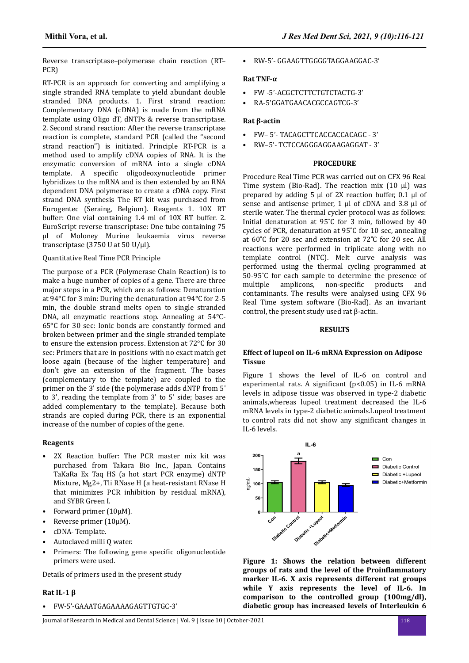Reverse transcriptase–polymerase chain reaction (RT– PCR)

RT-PCR is an approach for converting and amplifying a single stranded RNA template to yield abundant double stranded DNA products. 1. First strand reaction: Complementary DNA (cDNA) is made from the mRNA template using Oligo dT, dNTPs & reverse transcriptase. 2. Second strand reaction: After the reverse transcriptase reaction is complete, standard PCR (called the "second strand reaction") is initiated. Principle RT-PCR is a method used to amplify cDNA copies of RNA. It is the enzymatic conversion of mRNA into a single cDNA template. A specific oligodeoxynucleotide primer hybridizes to the mRNA and is then extended by an RNA dependent DNA polymerase to create a cDNA copy. First strand DNA synthesis The RT kit was purchased from Eurogentec (Seraing, Belgium). Reagents 1. 10X RT buffer: One vial containing 1.4 ml of 10X RT buffer. 2. EuroScript reverse transcriptase: One tube containing 75 μl of Moloney Murine leukaemia virus reverse transcriptase (3750 U at 50 U/μl).

## Quantitative Real Time PCR Principle

The purpose of a PCR (Polymerase Chain Reaction) is to make a huge number of copies of a gene. There are three major steps in a PCR, which are as follows: Denaturation at 94°C for 3 min: During the denaturation at 94°C for 2-5 min, the double strand melts open to single stranded DNA, all enzymatic reactions stop. Annealing at 54°C-65°C for 30 sec: Ionic bonds are constantly formed and broken between primer and the single stranded template to ensure the extension process. Extension at 72°C for 30 sec: Primers that are in positions with no exact match get loose again (because of the higher temperature) and don't give an extension of the fragment. The bases (complementary to the template) are coupled to the primer on the 3' side (the polymerase adds dNTP from 5' to 3', reading the template from 3' to 5' side; bases are added complementary to the template). Because both strands are copied during PCR, there is an exponential increase of the number of copies of the gene.

#### **Reagents**

- 2X Reaction buffer: The PCR master mix kit was purchased from Takara Bio Inc., Japan. Contains TaKaRa Ex Taq HS (a hot start PCR enzyme) dNTP Mixture, Mg2+, Tli RNase H (a heat-resistant RNase H that minimizes PCR inhibition by residual mRNA), and SYBR Green I.
- Forward primer (10µM).
- Reverse primer  $(10\mu)$ .
- cDNA- Template.
- Autoclaved milli Q water.
- Primers: The following gene specific oligonucleotide primers were used.

Details of primers used in the present study

#### **Rat IL-1 β**

• FW-5'-GAAATGAGAAAAGAGTTGTGC-3'

• RW-5'- GGAAGTTGGGGTAGGAAGGAC-3'

## **Rat TNF-α**

- FW -5'-ACGCTCTTCTGTCTACTG-3'
- RA-5'GGATGAACACGCCAGTCG-3'

## **Rat β-actin**

- FW– 5'- TACAGCTTCACCACCACAGC 3'
- RW–5'- TCTCCAGGGAGGAAGAGGAT 3'

#### **PROCEDURE**

Procedure Real Time PCR was carried out on CFX 96 Real Time system (Bio-Rad). The reaction mix (10 µl) was prepared by adding 5 µl of 2X reaction buffer, 0.1 µl of sense and antisense primer, 1 ul of cDNA and 3.8 ul of sterile water. The thermal cycler protocol was as follows: Initial denaturation at 95˚C for 3 min, followed by 40 cycles of PCR, denaturation at 95˚C for 10 sec, annealing at 60˚C for 20 sec and extension at 72˚C for 20 sec. All reactions were performed in triplicate along with no template control (NTC). Melt curve analysis was performed using the thermal cycling programmed at 50-95˚C for each sample to determine the presence of multiple amplicons, non-specific products and contaminants. The results were analysed using CFX 96 Real Time system software (Bio-Rad). As an invariant control, the present study used rat β-actin.

#### **RESULTS**

#### **Effect of lupeol on IL-6 mRNA Expression on Adipose Tissue**

Figure 1 shows the level of IL-6 on control and experimental rats. A significant  $(p<0.05)$  in IL-6 mRNA levels in adipose tissue was observed in type-2 diabetic animals,whereas lupeol treatment decreased the IL-6 mRNA levels in type-2 diabetic animals.Lupeol treatment to control rats did not show any significant changes in IL-6 levels.



**Figure 1: Shows the relation between different groups of rats and the level of the Proinflammatory marker IL-6. X axis represents different rat groups while Y axis represents the level of IL-6. In comparison to the controlled group (100mg/dl), diabetic group has increased levels of Interleukin 6**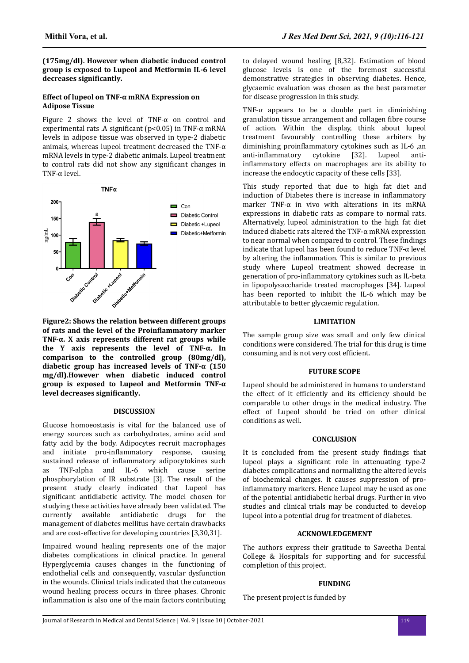to delayed wound healing [8,32]. Estimation of blood glucose levels is one of the foremost successful demonstrative strategies in observing diabetes. Hence, glycaemic evaluation was chosen as the best parameter

TNF- $\alpha$  appears to be a double part in diminishing granulation tissue arrangement and collagen fibre course of action. Within the display, think about lupeol treatment favourably controlling these arbiters by diminishing proinflammatory cytokines such as IL-6 ,an anti-inflammatory cytokine [32]. Lupeol antiinflammatory effects on macrophages are its ability to increase the endocytic capacity of these cells [33].

This study reported that due to high fat diet and induction of Diabetes there is increase in inflammatory marker TNF- $\alpha$  in vivo with alterations in its mRNA expressions in diabetic rats as compare to normal rats. Alternatively, lupeol administration to the high fat diet induced diabetic rats altered the TNF- $\alpha$  mRNA expression to near normal when compared to control. These findings indicate that lupeol has been found to reduce TNF-α level by altering the inflammation. This is similar to previous study where Lupeol treatment showed decrease in

for disease progression in this study.

**(175mg/dl). However when diabetic induced control group is exposed to Lupeol and Metformin IL-6 level decreases** significantly.

## **Effect of lupeol on TNF-α mRNA Expression on Adipose Tissue**

Figure 2 shows the level of TNF- $\alpha$  on control and experimental rats .A significant ( $p$ <0.05) in TNF- $\alpha$  mRNA levels in adipose tissue was observed in type-2 diabetic animals, whereas lupeol treatment decreased the TNF-α mRNA levels in type-2 diabetic animals. Lupeol treatment to control rats did not show any significant changes in TNF-α level.





**Figure2: Shows the relation between different groups of rats and the level of the Proinflammatory marker TNF-α. X axis represents different rat groups while the Y axis represents the level of TNF-α. In comparison to the controlled group (80mg/dl), diabetic group has increased levels of TNF-α (150 mg/dl).However when diabetic induced control group is exposed to Lupeol and Metformin TNF-α level decreases significantly.** 

#### **DISCUSSION**

Glucose homoeostasis is vital for the balanced use of energy sources such as carbohydrates, amino acid and fatty acid by the body. Adipocytes recruit macrophages and initiate pro-inflammatory response, causing sustained release of inflammatory adipocytokines such as TNF-alpha and IL-6 which cause serine phosphorylation of IR substrate [3]. The result of the present study clearly indicated that Lupeol has significant antidiabetic activity. The model chosen for studying these activities have already been validated. The currently available antidiabetic drugs for the management of diabetes mellitus have certain drawbacks and are cost-effective for developing countries [3,30,31].

Impaired wound healing represents one of the major diabetes complications in clinical practice. In general Hyperglycemia causes changes in the functioning of endothelial cells and consequently, vascular dysfunction in the wounds. Clinical trials indicated that the cutaneous wound healing process occurs in three phases. Chronic inflammation is also one of the main factors contributing

generation of pro-inflammatory cytokines such as IL-beta in lipopolysaccharide treated macrophages [34]. Lupeol has been reported to inhibit the IL-6 which may be

attributable to better glycaemic regulation.

#### **LIMITATION**

The sample group size was small and only few clinical conditions were considered. The trial for this drug is time consuming and is not very cost efficient.

#### **FUTURE SCOPE**

Lupeol should be administered in humans to understand the effect of it efficiently and its efficiency should be comparable to other drugs in the medical industry. The effect of Lupeol should be tried on other clinical conditions as well.

# **CONCLUSION**

It is concluded from the present study findings that lupeol plays a significant role in attenuating type-2 diabetes complications and normalizing the altered levels of biochemical changes. It causes suppression of proinflammatory markers. Hence Lupeol may be used as one of the potential antidiabetic herbal drugs. Further in vivo studies and clinical trials may be conducted to develop lupeol into a potential drug for treatment of diabetes.

#### **ACKNOWLEDGEMENT**

The authors express their gratitude to Saveetha Dental College & Hospitals for supporting and for successful completion of this project.

#### **FUNDING**

The present project is funded by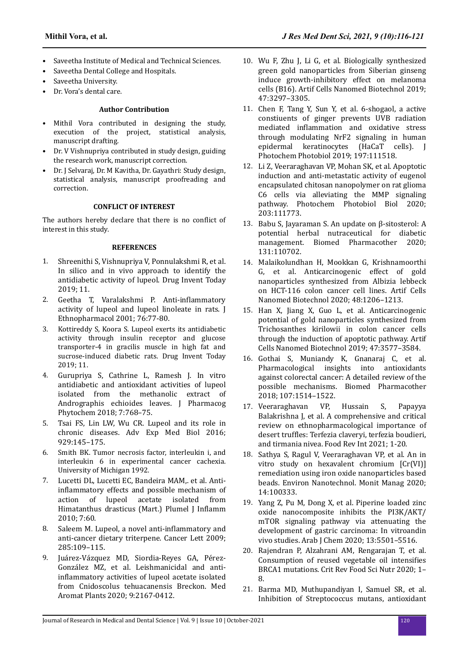- Saveetha Institute of Medical and Technical Sciences.
- Saveetha Dental College and Hospitals.
- Saveetha University.
- Dr. Vora's dental care.

## **Author Contribution**

- Mithil Vora contributed in designing the study, execution of the project, statistical analysis, manuscript drafting.
- Dr. V Vishnupriya contributed in study design, guiding the research work, manuscript correction.
- Dr. J Selvaraj, Dr. M Kavitha, Dr. Gayathri: Study design, statistical analysis, manuscript proofreading and correction.

## **CONFLICT OF INTEREST**

The authors hereby declare that there is no conflict of interest in this study.

#### **REFERENCES**

- 1. [Shreenithi S, Vishnupriya V, Ponnulakshmi R, et al.](https://web.p.ebscohost.com/abstract?direct=true&profile=ehost&scope=site&authtype=crawler&jrnl=09757619&AN=139165672&h=U80Vi6EhPG2RIf5js3VfoLhuxJZf3hIXJElYVn3qXAPEyNlsiYMatVvsxBsQZiYUf9uNJxNzWV6fJTkPjGn5Jg%3d%3d&crl=c&resultNs=AdminWebAuth&resultLocal=ErrCrlNotAuth&crlhashurl=login.aspx%3fdirect%3dtrue%26profile%3dehost%26scope%3dsite%26authtype%3dcrawler%26jrnl%3d09757619%26AN%3d139165672) [In silico and in vivo approach to identify the](https://web.p.ebscohost.com/abstract?direct=true&profile=ehost&scope=site&authtype=crawler&jrnl=09757619&AN=139165672&h=U80Vi6EhPG2RIf5js3VfoLhuxJZf3hIXJElYVn3qXAPEyNlsiYMatVvsxBsQZiYUf9uNJxNzWV6fJTkPjGn5Jg%3d%3d&crl=c&resultNs=AdminWebAuth&resultLocal=ErrCrlNotAuth&crlhashurl=login.aspx%3fdirect%3dtrue%26profile%3dehost%26scope%3dsite%26authtype%3dcrawler%26jrnl%3d09757619%26AN%3d139165672) [antidiabetic activity of lupeol. Drug Invent Today](https://web.p.ebscohost.com/abstract?direct=true&profile=ehost&scope=site&authtype=crawler&jrnl=09757619&AN=139165672&h=U80Vi6EhPG2RIf5js3VfoLhuxJZf3hIXJElYVn3qXAPEyNlsiYMatVvsxBsQZiYUf9uNJxNzWV6fJTkPjGn5Jg%3d%3d&crl=c&resultNs=AdminWebAuth&resultLocal=ErrCrlNotAuth&crlhashurl=login.aspx%3fdirect%3dtrue%26profile%3dehost%26scope%3dsite%26authtype%3dcrawler%26jrnl%3d09757619%26AN%3d139165672) [2019; 11.](https://web.p.ebscohost.com/abstract?direct=true&profile=ehost&scope=site&authtype=crawler&jrnl=09757619&AN=139165672&h=U80Vi6EhPG2RIf5js3VfoLhuxJZf3hIXJElYVn3qXAPEyNlsiYMatVvsxBsQZiYUf9uNJxNzWV6fJTkPjGn5Jg%3d%3d&crl=c&resultNs=AdminWebAuth&resultLocal=ErrCrlNotAuth&crlhashurl=login.aspx%3fdirect%3dtrue%26profile%3dehost%26scope%3dsite%26authtype%3dcrawler%26jrnl%3d09757619%26AN%3d139165672)
- 2. [Geetha T, Varalakshmi P.](https://doi.org/10.1016/s0378-8741(01)00175-1) Anti-inflammatory [activity of lupeol and lupeol linoleate in rats. J](https://doi.org/10.1016/s0378-8741(01)00175-1) [Ethnopharmacol 2001; 76:77-80.](https://doi.org/10.1016/s0378-8741(01)00175-1)
- 3. Kottireddy S, Koora S. Lupeol exerts its antidiabetic activity through insulin receptor and glucose transporter-4 in gracilis muscle in high fat and sucrose-induced diabetic rats. Drug Invent Today 2019; 11.
- 4. [Gurupriya S, Cathrine L, Ramesh J. In vitro](https://www.phytojournal.com/archives?year=2018&vol=7&issue=4&ArticleId=5009&si=false) [antidiabetic and antioxidant activities of lupeol](https://www.phytojournal.com/archives?year=2018&vol=7&issue=4&ArticleId=5009&si=false) [isolated from the methanolic extract of](https://www.phytojournal.com/archives?year=2018&vol=7&issue=4&ArticleId=5009&si=false) [Andrographis echioides leaves. J Pharmacog](https://www.phytojournal.com/archives?year=2018&vol=7&issue=4&ArticleId=5009&si=false) [Phytochem 2018; 7:768–75.](https://www.phytojournal.com/archives?year=2018&vol=7&issue=4&ArticleId=5009&si=false)
- 5. [Tsai FS, Lin LW, Wu CR. Lupeol and its role in](https://doi.org/10.1007/978-3-319-41342-6_7) [chronic diseases. Adv Exp Med Biol 2016;](https://doi.org/10.1007/978-3-319-41342-6_7) [929:145–175.](https://doi.org/10.1007/978-3-319-41342-6_7)
- 6. Smith BK. Tumor necrosis factor, interleukin i, and interleukin 6 in experimental cancer cachexia. University of Michigan 1992.
- 7. Lucetti DL, Lucetti EC, Bandeira MAM, et al. Antiinflammatory [effects and possible mechanism of](https://doi.org/10.1186/1476-9255-7-60) [action of lupeol acetate isolated from](https://doi.org/10.1186/1476-9255-7-60) [Himatanthus drasticus \(Mart.\) Plumel J](https://doi.org/10.1186/1476-9255-7-60) Inflamm [2010; 7:60.](https://doi.org/10.1186/1476-9255-7-60)
- 8. [Saleem M. Lupeol, a novel](https://doi.org/10.1016/j.canlet.2009.04.033) anti-inflammatory and [anti-cancer dietary triterpene. Cancer Lett 2009;](https://doi.org/10.1016/j.canlet.2009.04.033) [285:109–115.](https://doi.org/10.1016/j.canlet.2009.04.033)
- 9. Juárez-Vázquez [MD, Siordia-Reyes GA,](https://doi.org/10.35248/2167-0412.20.9.347) Pérez-González [MZ, et al. Leishmanicidal and](https://doi.org/10.35248/2167-0412.20.9.347) antiinflammatory [activities of lupeol acetate isolated](https://doi.org/10.35248/2167-0412.20.9.347) [from Cnidoscolus tehuacanensis Breckon. Med](https://doi.org/10.35248/2167-0412.20.9.347) [Aromat Plants 2020; 9:2167-0412.](https://doi.org/10.35248/2167-0412.20.9.347)
- 10. [Wu F, Zhu J, Li G, et al. Biologically synthesized](https://doi.org/10.1080/21691401.2019.1647224) [green gold nanoparticles from Siberian ginseng](https://doi.org/10.1080/21691401.2019.1647224) [induce growth-inhibitory effect on melanoma](https://doi.org/10.1080/21691401.2019.1647224) [cells \(B16\). Artif Cells Nanomed Biotechnol 2019;](https://doi.org/10.1080/21691401.2019.1647224) [47:3297–3305.](https://doi.org/10.1080/21691401.2019.1647224)
- 11. [Chen F, Tang Y, Sun Y, et al. 6-shogaol, a active](https://doi.org/10.1016/j.jphotobiol.2019.111518) [constiuents of ginger prevents UVB radiation](https://doi.org/10.1016/j.jphotobiol.2019.111518) mediated inflammation [and oxidative stress](https://doi.org/10.1016/j.jphotobiol.2019.111518) [through modulating NrF2 signaling in human](https://doi.org/10.1016/j.jphotobiol.2019.111518) [epidermal keratinocytes \(HaCaT cells\). J](https://doi.org/10.1016/j.jphotobiol.2019.111518) [Photochem Photobiol 2019; 197:111518.](https://doi.org/10.1016/j.jphotobiol.2019.111518)
- 12. [Li Z, Veeraraghavan VP, Mohan SK, et al. Apoptotic](https://doi.org/10.1016/j.jphotobiol.2019.111773) [induction and anti-metastatic activity of eugenol](https://doi.org/10.1016/j.jphotobiol.2019.111773) [encapsulated chitosan nanopolymer on rat glioma](https://doi.org/10.1016/j.jphotobiol.2019.111773) [C6 cells via alleviating the MMP signaling](https://doi.org/10.1016/j.jphotobiol.2019.111773) [pathway. Photochem Photobiol Biol 2020;](https://doi.org/10.1016/j.jphotobiol.2019.111773) [203:111773.](https://doi.org/10.1016/j.jphotobiol.2019.111773)
- 13. [Babu S, Jayaraman S. An update on β-sitosterol: A](https://doi.org/10.1016/j.biopha.2020.110702) [potential herbal nutraceutical for diabetic](https://doi.org/10.1016/j.biopha.2020.110702) [management. Biomed Pharmacother 2020;](https://doi.org/10.1016/j.biopha.2020.110702) [131:110702.](https://doi.org/10.1016/j.biopha.2020.110702)
- 14. [Malaikolundhan H, Mookkan G, Krishnamoorthi](https://doi.org/10.1080/21691401.2020.1814313) [G, et al. Anticarcinogenic effect of gold](https://doi.org/10.1080/21691401.2020.1814313) [nanoparticles synthesized from Albizia lebbeck](https://doi.org/10.1080/21691401.2020.1814313) [on HCT-116 colon cancer cell lines. Artif Cells](https://doi.org/10.1080/21691401.2020.1814313) [Nanomed Biotechnol 2020; 48:1206–1213.](https://doi.org/10.1080/21691401.2020.1814313)
- 15. [Han X, Jiang X, Guo L, et al. Anticarcinogenic](https://doi.org/10.1080/21691401.2019.1626412) [potential of gold nanoparticles synthesized from](https://doi.org/10.1080/21691401.2019.1626412) [Trichosanthes kirilowii in colon cancer cells](https://doi.org/10.1080/21691401.2019.1626412) [through the induction of apoptotic pathway. Artif](https://doi.org/10.1080/21691401.2019.1626412) [Cells Nanomed Biotechnol 2019; 47:3577–3584.](https://doi.org/10.1080/21691401.2019.1626412)
- 16. [Gothai S, Muniandy K, Gnanaraj C, et al.](https://doi.org/10.1016/j.biopha.2018.08.112) [Pharmacological insights into antioxidants](https://doi.org/10.1016/j.biopha.2018.08.112) [against colorectal cancer: A detailed review of the](https://doi.org/10.1016/j.biopha.2018.08.112) [possible mechanisms. Biomed Pharmacother](https://doi.org/10.1016/j.biopha.2018.08.112) [2018; 107:1514–1522.](https://doi.org/10.1016/j.biopha.2018.08.112)
- 17. [Veeraraghavan VP, Hussain S, Papayya](https://doi.org/10.1080/87559129.2021.1889581) [Balakrishna J, et al. A comprehensive and critical](https://doi.org/10.1080/87559129.2021.1889581) [review on ethnopharmacological importance of](https://doi.org/10.1080/87559129.2021.1889581) desert truffles: [Terfezia claveryi, terfezia boudieri,](https://doi.org/10.1080/87559129.2021.1889581) [and tirmania nivea. Food Rev Int 2021; 1-20.](https://doi.org/10.1080/87559129.2021.1889581)
- 18. [Sathya S, Ragul V, Veeraraghavan VP, et al. An in](https://doi.org/10.1016/j.enmm.2020.100333) [vitro study on hexavalent chromium \[Cr\(VI\)\]](https://doi.org/10.1016/j.enmm.2020.100333) [remediation using iron oxide nanoparticles based](https://doi.org/10.1016/j.enmm.2020.100333) [beads. Environ Nanotechnol. Monit Manag 2020;](https://doi.org/10.1016/j.enmm.2020.100333) [14:100333.](https://doi.org/10.1016/j.enmm.2020.100333)
- 19. [Yang Z, Pu M, Dong X, et al. Piperine loaded zinc](https://doi.org/10.1016/j.arabjc.2020.03.028) [oxide nanocomposite inhibits the PI3K/AKT/](https://doi.org/10.1016/j.arabjc.2020.03.028) [mTOR signaling pathway via attenuating the](https://doi.org/10.1016/j.arabjc.2020.03.028) [development of gastric carcinoma: In vitroandin](https://doi.org/10.1016/j.arabjc.2020.03.028) [vivo studies. Arab J Chem 2020; 13:5501–5516.](https://doi.org/10.1016/j.arabjc.2020.03.028)
- 20. [Rajendran P, Alzahrani AM, Rengarajan T, et al.](https://doi.org/10.1080/10408398.2020.1837725) [Consumption of reused vegetable oil](https://doi.org/10.1080/10408398.2020.1837725) intensifies [BRCA1 mutations. Crit Rev Food Sci Nutr 2020; 1–](https://doi.org/10.1080/10408398.2020.1837725) [8.](https://doi.org/10.1080/10408398.2020.1837725)
- 21. [Barma MD, Muthupandiyan I, Samuel SR, et al.](https://doi.org/10.1016/j.archoralbio.2021.105132) [Inhibition of Streptococcus mutans, antioxidant](https://doi.org/10.1016/j.archoralbio.2021.105132)